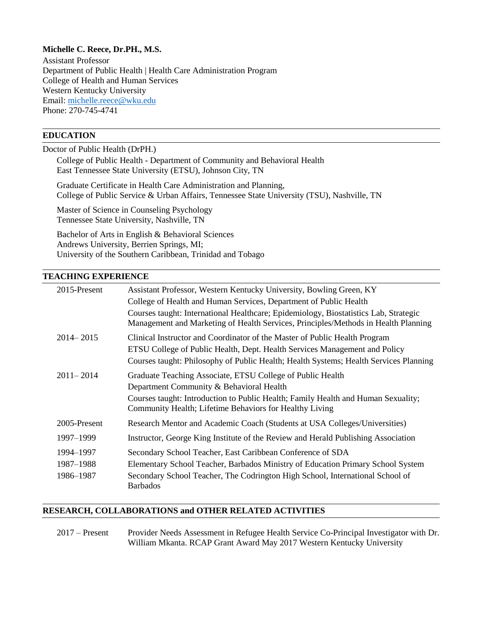# **Michelle C. Reece, Dr.PH., M.S.**

Assistant Professor Department of Public Health | Health Care Administration Program College of Health and Human Services Western Kentucky University Email: [michelle.reece@wku.edu](mailto:michelle.reece@wku.edu) Phone: 270-745-4741

# **EDUCATION**

Doctor of Public Health (DrPH.) College of Public Health - Department of Community and Behavioral Health East Tennessee State University (ETSU), Johnson City, TN Graduate Certificate in Health Care Administration and Planning, College of Public Service & Urban Affairs, Tennessee State University (TSU), Nashville, TN Master of Science in Counseling Psychology Tennessee State University, Nashville, TN Bachelor of Arts in English & Behavioral Sciences

Andrews University, Berrien Springs, MI; University of the Southern Caribbean, Trinidad and Tobago

### **TEACHING EXPERIENCE**

| 2015-Present                        | Assistant Professor, Western Kentucky University, Bowling Green, KY                                                                                                                                                                                    |
|-------------------------------------|--------------------------------------------------------------------------------------------------------------------------------------------------------------------------------------------------------------------------------------------------------|
|                                     | College of Health and Human Services, Department of Public Health                                                                                                                                                                                      |
|                                     | Courses taught: International Healthcare; Epidemiology, Biostatistics Lab, Strategic<br>Management and Marketing of Health Services, Principles/Methods in Health Planning                                                                             |
| $2014 - 2015$                       | Clinical Instructor and Coordinator of the Master of Public Health Program<br>ETSU College of Public Health, Dept. Health Services Management and Policy<br>Courses taught: Philosophy of Public Health; Health Systems; Health Services Planning      |
| $2011 - 2014$                       | Graduate Teaching Associate, ETSU College of Public Health<br>Department Community & Behavioral Health<br>Courses taught: Introduction to Public Health; Family Health and Human Sexuality;<br>Community Health; Lifetime Behaviors for Healthy Living |
| 2005-Present                        | Research Mentor and Academic Coach (Students at USA Colleges/Universities)                                                                                                                                                                             |
| 1997–1999                           | Instructor, George King Institute of the Review and Herald Publishing Association                                                                                                                                                                      |
| 1994-1997<br>1987–1988<br>1986-1987 | Secondary School Teacher, East Caribbean Conference of SDA<br>Elementary School Teacher, Barbados Ministry of Education Primary School System<br>Secondary School Teacher, The Codrington High School, International School of<br><b>Barbados</b>      |

## **RESEARCH, COLLABORATIONS and OTHER RELATED ACTIVITIES**

2017 – Present Provider Needs Assessment in Refugee Health Service Co-Principal Investigator with Dr. William Mkanta. RCAP Grant Award May 2017 Western Kentucky University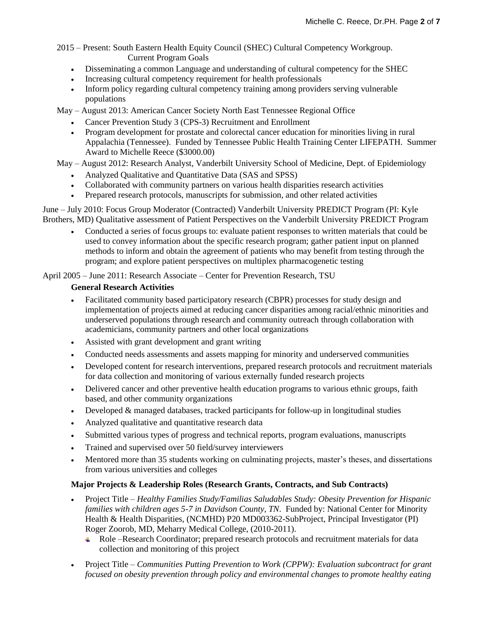2015 – Present: South Eastern Health Equity Council (SHEC) Cultural Competency Workgroup. Current Program Goals

- Disseminating a common Language and understanding of cultural competency for the SHEC
- Increasing cultural competency requirement for health professionals
- Inform policy regarding cultural competency training among providers serving vulnerable populations

May – August 2013: American Cancer Society North East Tennessee Regional Office

- Cancer Prevention Study 3 (CPS-3) Recruitment and Enrollment
- Program development for prostate and colorectal cancer education for minorities living in rural Appalachia (Tennessee). Funded by Tennessee Public Health Training Center LIFEPATH. Summer Award to Michelle Reece (\$3000.00)

May – August 2012: Research Analyst, Vanderbilt University School of Medicine, Dept. of Epidemiology

- Analyzed Qualitative and Quantitative Data (SAS and SPSS)
- Collaborated with community partners on various health disparities research activities
- Prepared research protocols, manuscripts for submission, and other related activities

June – July 2010: Focus Group Moderator (Contracted) Vanderbilt University PREDICT Program (PI: Kyle Brothers, MD) Qualitative assessment of Patient Perspectives on the Vanderbilt University PREDICT Program

 Conducted a series of focus groups to: evaluate patient responses to written materials that could be used to convey information about the specific research program; gather patient input on planned methods to inform and obtain the agreement of patients who may benefit from testing through the program; and explore patient perspectives on multiplex pharmacogenetic testing

April 2005 – June 2011: Research Associate – Center for Prevention Research, TSU

# **General Research Activities**

- Facilitated community based participatory research (CBPR) processes for study design and implementation of projects aimed at reducing cancer disparities among racial/ethnic minorities and underserved populations through research and community outreach through collaboration with academicians, community partners and other local organizations
- Assisted with grant development and grant writing
- Conducted needs assessments and assets mapping for minority and underserved communities
- Developed content for research interventions, prepared research protocols and recruitment materials for data collection and monitoring of various externally funded research projects
- Delivered cancer and other preventive health education programs to various ethnic groups, faith based, and other community organizations
- Developed & managed databases, tracked participants for follow-up in longitudinal studies
- Analyzed qualitative and quantitative research data
- Submitted various types of progress and technical reports, program evaluations, manuscripts
- Trained and supervised over 50 field/survey interviewers
- Mentored more than 35 students working on culminating projects, master's theses, and dissertations from various universities and colleges

## **Major Projects & Leadership Roles (Research Grants, Contracts, and Sub Contracts)**

- Project Title *Healthy Families Study/Familias Saludables Study: Obesity Prevention for Hispanic families with children ages 5-7 in Davidson County, TN*. Funded by: National Center for Minority Health & Health Disparities, (NCMHD) P20 MD003362-SubProject, Principal Investigator (PI) Roger Zoorob, MD, Meharry Medical College, (2010-2011).
	- Role –Research Coordinator; prepared research protocols and recruitment materials for data collection and monitoring of this project
- Project Title *Communities Putting Prevention to Work (CPPW): Evaluation subcontract for grant focused on obesity prevention through policy and environmental changes to promote healthy eating*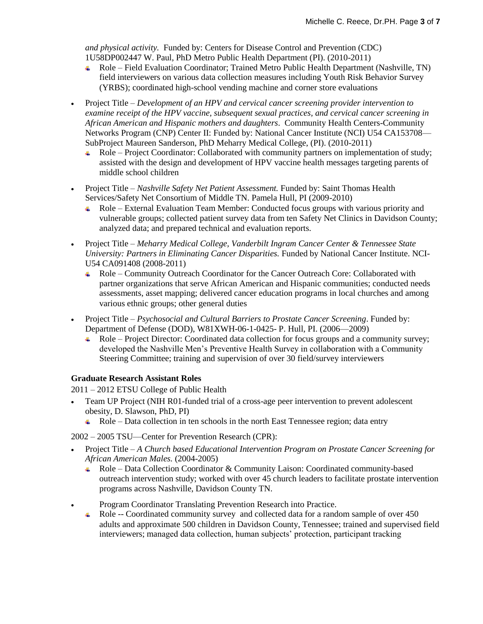*and physical activity.* Funded by: Centers for Disease Control and Prevention (CDC) 1U58DP002447 W. Paul, PhD Metro Public Health Department (PI). (2010-2011)

- Role Field Evaluation Coordinator; Trained Metro Public Health Department (Nashville, TN) field interviewers on various data collection measures including Youth Risk Behavior Survey (YRBS); coordinated high-school vending machine and corner store evaluations
- Project Title *Development of an HPV and cervical cancer screening provider intervention to examine receipt of the HPV vaccine, subsequent sexual practices, and cervical cancer screening in African American and Hispanic mothers and daughters*. Community Health Centers-Community Networks Program (CNP) Center II: Funded by: National Cancer Institute (NCI) U54 CA153708— SubProject Maureen Sanderson, PhD Meharry Medical College, (PI). (2010-2011)
	- Role Project Coordinator: Collaborated with community partners on implementation of study; assisted with the design and development of HPV vaccine health messages targeting parents of middle school children
- Project Title *Nashville Safety Net Patient Assessment.* Funded by: Saint Thomas Health Services/Safety Net Consortium of Middle TN. Pamela Hull, PI (2009-2010)
	- Role External Evaluation Team Member: Conducted focus groups with various priority and vulnerable groups; collected patient survey data from ten Safety Net Clinics in Davidson County; analyzed data; and prepared technical and evaluation reports.
- Project Title *Meharry Medical College, Vanderbilt Ingram Cancer Center & Tennessee State University: Partners in Eliminating Cancer Disparities.* Funded by National Cancer Institute. NCI-U54 CA091408 (2008-2011)
	- Role Community Outreach Coordinator for the Cancer Outreach Core: Collaborated with partner organizations that serve African American and Hispanic communities; conducted needs assessments, asset mapping; delivered cancer education programs in local churches and among various ethnic groups; other general duties
- Project Title *Psychosocial and Cultural Barriers to Prostate Cancer Screening*. Funded by: Department of Defense (DOD), W81XWH-06-1-0425- P. Hull, PI. (2006—2009)
	- Role Project Director: Coordinated data collection for focus groups and a community survey; developed the Nashville Men's Preventive Health Survey in collaboration with a Community Steering Committee; training and supervision of over 30 field/survey interviewers

# **Graduate Research Assistant Roles**

2011 – 2012 ETSU College of Public Health

- Team UP Project (NIH R01-funded trial of a cross-age peer intervention to prevent adolescent obesity, D. Slawson, PhD, PI)
	- $\overline{\phantom{a}}$  Role Data collection in ten schools in the north East Tennessee region; data entry

2002 – 2005 TSU—Center for Prevention Research (CPR):

- Project Title *A Church based Educational Intervention Program on Prostate Cancer Screening for African American Males.* (2004-2005)
	- Role Data Collection Coordinator & Community Laison: Coordinated community-based outreach intervention study; worked with over 45 church leaders to facilitate prostate intervention programs across Nashville, Davidson County TN.
- Program Coordinator Translating Prevention Research into Practice.
	- Role -- Coordinated community survey and collected data for a random sample of over 450 adults and approximate 500 children in Davidson County, Tennessee; trained and supervised field interviewers; managed data collection, human subjects' protection, participant tracking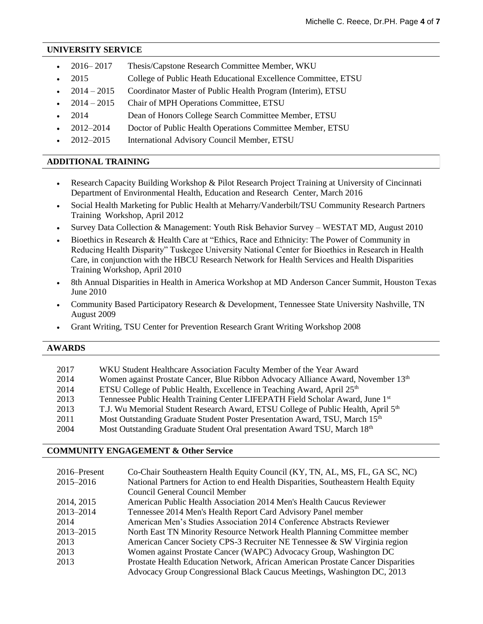### **UNIVERSITY SERVICE**

|  | $2016 - 2017$ | Thesis/Capstone Research Committee Member, WKU |  |
|--|---------------|------------------------------------------------|--|
|--|---------------|------------------------------------------------|--|

- 2015 College of Public Heath Educational Excellence Committee, ETSU
- 2014 2015 Coordinator Master of Public Health Program (Interim), ETSU
- 2014 2015 Chair of MPH Operations Committee, ETSU
- 2014 Dean of Honors College Search Committee Member, ETSU
- 2012–2014 Doctor of Public Health Operations Committee Member, ETSU
- 2012–2015 International Advisory Council Member, ETSU

## **ADDITIONAL TRAINING**

- Research Capacity Building Workshop & Pilot Research Project Training at University of Cincinnati Department of Environmental Health, Education and Research Center, March 2016
- Social Health Marketing for Public Health at Meharry/Vanderbilt/TSU Community Research Partners Training Workshop, April 2012
- Survey Data Collection & Management: Youth Risk Behavior Survey WESTAT MD, August 2010
- Bioethics in Research & Health Care at "Ethics, Race and Ethnicity: The Power of Community in Reducing Health Disparity" Tuskegee University National Center for Bioethics in Research in Health Care, in conjunction with the HBCU Research Network for Health Services and Health Disparities Training Workshop, April 2010
- 8th Annual Disparities in Health in America Workshop at MD Anderson Cancer Summit, Houston Texas June 2010
- Community Based Participatory Research & Development, Tennessee State University Nashville, TN August 2009
- Grant Writing, TSU Center for Prevention Research Grant Writing Workshop 2008

| <b>AWARDS</b> |                                                                                               |
|---------------|-----------------------------------------------------------------------------------------------|
|               |                                                                                               |
| 2017          | WKU Student Healthcare Association Faculty Member of the Year Award                           |
| 2014          | Women against Prostate Cancer, Blue Ribbon Advocacy Alliance Award, November 13 <sup>th</sup> |
| 2014          | ETSU College of Public Health, Excellence in Teaching Award, April 25 <sup>th</sup>           |
| 2013          | Tennessee Public Health Training Center LIFEPATH Field Scholar Award, June 1st                |
| 2013          | T.J. Wu Memorial Student Research Award, ETSU College of Public Health, April 5 <sup>th</sup> |
| 2011          | Most Outstanding Graduate Student Poster Presentation Award, TSU, March 15th                  |
| 2004          | Most Outstanding Graduate Student Oral presentation Award TSU, March 18th                     |

## **COMMUNITY ENGAGEMENT & Other Service**

| 2016–Present | Co-Chair Southeastern Health Equity Council (KY, TN, AL, MS, FL, GA SC, NC)        |
|--------------|------------------------------------------------------------------------------------|
| 2015-2016    | National Partners for Action to end Health Disparities, Southeastern Health Equity |
|              | Council General Council Member                                                     |
| 2014, 2015   | American Public Health Association 2014 Men's Health Caucus Reviewer               |
| 2013-2014    | Tennessee 2014 Men's Health Report Card Advisory Panel member                      |
| 2014         | American Men's Studies Association 2014 Conference Abstracts Reviewer              |
| 2013-2015    | North East TN Minority Resource Network Health Planning Committee member           |
| 2013         | American Cancer Society CPS-3 Recruiter NE Tennessee & SW Virginia region          |
| 2013         | Women against Prostate Cancer (WAPC) Advocacy Group, Washington DC                 |
| 2013         | Prostate Health Education Network, African American Prostate Cancer Disparities    |
|              | Advocacy Group Congressional Black Caucus Meetings, Washington DC, 2013            |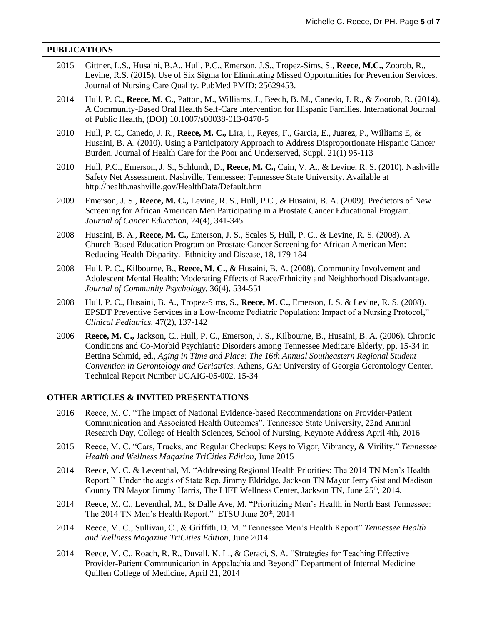### **PUBLICATIONS**

| 2015 | Gittner, L.S., Husaini, B.A., Hull, P.C., Emerson, J.S., Tropez-Sims, S., Reece, M.C., Zoorob, R.,<br>Levine, R.S. (2015). Use of Six Sigma for Eliminating Missed Opportunities for Prevention Services.<br>Journal of Nursing Care Quality. PubMed PMID: 25629453.                                                                                                                                                                                    |
|------|---------------------------------------------------------------------------------------------------------------------------------------------------------------------------------------------------------------------------------------------------------------------------------------------------------------------------------------------------------------------------------------------------------------------------------------------------------|
| 2014 | Hull, P. C., Reece, M. C., Patton, M., Williams, J., Beech, B. M., Canedo, J. R., & Zoorob, R. (2014).<br>A Community-Based Oral Health Self-Care Intervention for Hispanic Families. International Journal<br>of Public Health, (DOI) 10.1007/s00038-013-0470-5                                                                                                                                                                                        |
| 2010 | Hull, P. C., Canedo, J. R., Reece, M. C., Lira, I., Reyes, F., Garcia, E., Juarez, P., Williams E, &<br>Husaini, B. A. (2010). Using a Participatory Approach to Address Disproportionate Hispanic Cancer<br>Burden. Journal of Health Care for the Poor and Underserved, Suppl. 21(1) 95-113                                                                                                                                                           |
| 2010 | Hull, P.C., Emerson, J. S., Schlundt, D., Reece, M. C., Cain, V. A., & Levine, R. S. (2010). Nashville<br>Safety Net Assessment. Nashville, Tennessee: Tennessee State University. Available at<br>http://health.nashville.gov/HealthData/Default.htm                                                                                                                                                                                                   |
| 2009 | Emerson, J. S., Reece, M. C., Levine, R. S., Hull, P.C., & Husaini, B. A. (2009). Predictors of New<br>Screening for African American Men Participating in a Prostate Cancer Educational Program.<br>Journal of Cancer Education, 24(4), 341-345                                                                                                                                                                                                        |
| 2008 | Husaini, B. A., Reece, M. C., Emerson, J. S., Scales S, Hull, P. C., & Levine, R. S. (2008). A<br>Church-Based Education Program on Prostate Cancer Screening for African American Men:<br>Reducing Health Disparity. Ethnicity and Disease, 18, 179-184                                                                                                                                                                                                |
| 2008 | Hull, P. C., Kilbourne, B., Reece, M. C., & Husaini, B. A. (2008). Community Involvement and<br>Adolescent Mental Health: Moderating Effects of Race/Ethnicity and Neighborhood Disadvantage.<br>Journal of Community Psychology, 36(4), 534-551                                                                                                                                                                                                        |
| 2008 | Hull, P. C., Husaini, B. A., Tropez-Sims, S., Reece, M. C., Emerson, J. S. & Levine, R. S. (2008).<br>EPSDT Preventive Services in a Low-Income Pediatric Population: Impact of a Nursing Protocol,"<br>Clinical Pediatrics. 47(2), 137-142                                                                                                                                                                                                             |
| 2006 | Reece, M. C., Jackson, C., Hull, P. C., Emerson, J. S., Kilbourne, B., Husaini, B. A. (2006). Chronic<br>Conditions and Co-Morbid Psychiatric Disorders among Tennessee Medicare Elderly, pp. 15-34 in<br>Bettina Schmid, ed., Aging in Time and Place: The 16th Annual Southeastern Regional Student<br>Convention in Gerontology and Geriatrics. Athens, GA: University of Georgia Gerontology Center.<br>Technical Report Number UGAIG-05-002. 15-34 |
|      | <b>OTHER ARTICLES &amp; INVITED PRESENTATIONS</b>                                                                                                                                                                                                                                                                                                                                                                                                       |
|      | 2016 Reece, M. C. "The Impact of National Evidence-based Recommendations on Provider-Patient<br>Communication and Associated Health Outcomes". Tennessee State University, 22nd Annual<br>Research Day, College of Health Sciences, School of Nursing, Keynote Address April 4th, 2016                                                                                                                                                                  |
| 2015 | Reece, M. C. "Cars, Trucks, and Regular Checkups: Keys to Vigor, Vibrancy, & Virility." Tennessee<br>Health and Wellness Magazine TriCities Edition, June 2015                                                                                                                                                                                                                                                                                          |
| 2014 | Reece, M. C. & Leventhal, M. "Addressing Regional Health Priorities: The 2014 TN Men's Health<br>Report." Under the aegis of State Rep. Jimmy Eldridge, Jackson TN Mayor Jerry Gist and Madison<br>County TN Mayor Jimmy Harris, The LIFT Wellness Center, Jackson TN, June 25 <sup>th</sup> , 2014.                                                                                                                                                    |

- 2014 Reece, M. C., Leventhal, M., & Dalle Ave, M. "Prioritizing Men's Health in North East Tennessee: The 2014 TN Men's Health Report." ETSU June 20<sup>th</sup>, 2014
- 2014 Reece, M. C., Sullivan, C., & Griffith, D. M. "Tennessee Men's Health Report" *Tennessee Health and Wellness Magazine TriCities Edition*, June 2014
- 2014 Reece, M. C., Roach, R. R., Duvall, K. L., & Geraci, S. A. "Strategies for Teaching Effective Provider-Patient Communication in Appalachia and Beyond" Department of Internal Medicine Quillen College of Medicine, April 21, 2014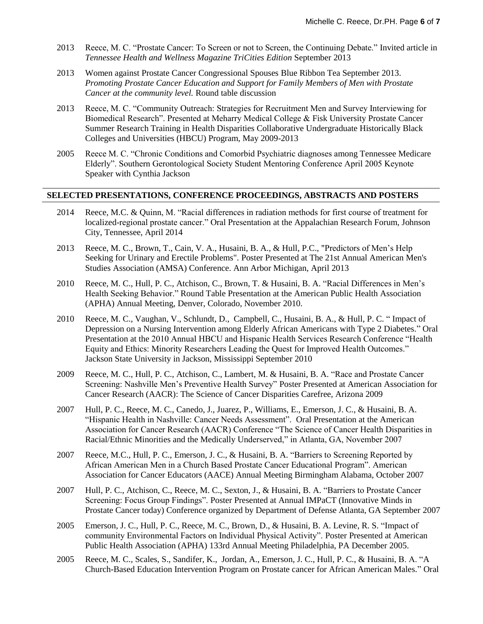- 2013 Reece, M. C. "Prostate Cancer: To Screen or not to Screen, the Continuing Debate." Invited article in *Tennessee Health and Wellness Magazine TriCities Edition* September 2013
- 2013 Women against Prostate Cancer Congressional Spouses Blue Ribbon Tea September 2013. *Promoting Prostate Cancer Education and Support for Family Members of Men with Prostate Cancer at the community level.* Round table discussion
- 2013 Reece, M. C. "Community Outreach: Strategies for Recruitment Men and Survey Interviewing for Biomedical Research". Presented at Meharry Medical College & Fisk University Prostate Cancer Summer Research Training in Health Disparities Collaborative Undergraduate Historically Black Colleges and Universities (HBCU) Program, May 2009-2013
- 2005 Reece M. C. "Chronic Conditions and Comorbid Psychiatric diagnoses among Tennessee Medicare Elderly". Southern Gerontological Society Student Mentoring Conference April 2005 Keynote Speaker with Cynthia Jackson

## **SELECTED PRESENTATIONS, CONFERENCE PROCEEDINGS, ABSTRACTS AND POSTERS**

- 2014 Reece, M.C. & Quinn, M. "Racial differences in radiation methods for first course of treatment for localized-regional prostate cancer." Oral Presentation at the Appalachian Research Forum, Johnson City, Tennessee, April 2014
- 2013 Reece, M. C., Brown, T., Cain, V. A., Husaini, B. A., & Hull, P.C., "Predictors of Men's Help Seeking for Urinary and Erectile Problems". Poster Presented at The 21st Annual American Men's Studies Association (AMSA) Conference. Ann Arbor Michigan, April 2013
- 2010 Reece, M. C., Hull, P. C., Atchison, C., Brown, T. & Husaini, B. A. "Racial Differences in Men's Health Seeking Behavior." Round Table Presentation at the American Public Health Association (APHA) Annual Meeting, Denver, Colorado, November 2010.
- 2010 Reece, M. C., Vaughan, V., Schlundt, D., Campbell, C., Husaini, B. A., & Hull, P. C. " Impact of Depression on a Nursing Intervention among Elderly African Americans with Type 2 Diabetes." Oral Presentation at the 2010 Annual HBCU and Hispanic Health Services Research Conference "Health Equity and Ethics: Minority Researchers Leading the Quest for Improved Health Outcomes." Jackson State University in Jackson, Mississippi September 2010
- 2009 Reece, M. C., Hull, P. C., Atchison, C., Lambert, M. & Husaini, B. A. "Race and Prostate Cancer Screening: Nashville Men's Preventive Health Survey" Poster Presented at American Association for Cancer Research (AACR): The Science of Cancer Disparities Carefree, Arizona 2009
- 2007 Hull, P. C., Reece, M. C., Canedo, J., Juarez, P., Williams, E., Emerson, J. C., & Husaini, B. A. "Hispanic Health in Nashville: Cancer Needs Assessment". Oral Presentation at the American Association for Cancer Research (AACR) Conference "The Science of Cancer Health Disparities in Racial/Ethnic Minorities and the Medically Underserved," in Atlanta, GA, November 2007
- 2007 Reece, M.C., Hull, P. C., Emerson, J. C., & Husaini, B. A. "Barriers to Screening Reported by African American Men in a Church Based Prostate Cancer Educational Program". American Association for Cancer Educators (AACE) Annual Meeting Birmingham Alabama, October 2007
- 2007 Hull, P. C., Atchison, C., Reece, M. C., Sexton, J., & Husaini, B. A. "Barriers to Prostate Cancer Screening: Focus Group Findings". Poster Presented at Annual IMPaCT (Innovative Minds in Prostate Cancer today) Conference organized by Department of Defense Atlanta, GA September 2007
- 2005 Emerson, J. C., Hull, P. C., Reece, M. C., Brown, D., & Husaini, B. A. Levine, R. S. "Impact of community Environmental Factors on Individual Physical Activity". Poster Presented at American Public Health Association (APHA) 133rd Annual Meeting Philadelphia, PA December 2005.
- 2005 Reece, M. C., Scales, S., Sandifer, K., Jordan, A., Emerson, J. C., Hull, P. C., & Husaini, B. A. "A Church-Based Education Intervention Program on Prostate cancer for African American Males." Oral